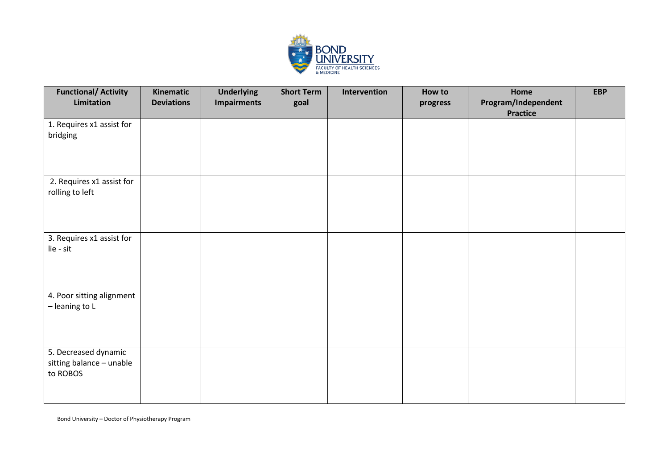

| <b>Functional/ Activity</b><br>Limitation                    | Kinematic<br><b>Deviations</b> | <b>Underlying</b><br><b>Impairments</b> | <b>Short Term</b><br>goal | Intervention | How to<br>progress | Home<br>Program/Independent<br><b>Practice</b> | <b>EBP</b> |
|--------------------------------------------------------------|--------------------------------|-----------------------------------------|---------------------------|--------------|--------------------|------------------------------------------------|------------|
| 1. Requires x1 assist for<br>bridging                        |                                |                                         |                           |              |                    |                                                |            |
| 2. Requires x1 assist for<br>rolling to left                 |                                |                                         |                           |              |                    |                                                |            |
| 3. Requires x1 assist for<br>lie - sit                       |                                |                                         |                           |              |                    |                                                |            |
| 4. Poor sitting alignment<br>$-$ leaning to L                |                                |                                         |                           |              |                    |                                                |            |
| 5. Decreased dynamic<br>sitting balance - unable<br>to ROBOS |                                |                                         |                           |              |                    |                                                |            |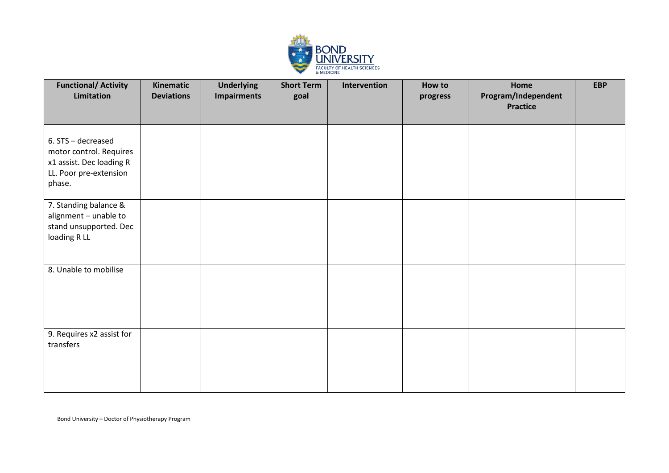

| <b>Functional/ Activity</b><br>Limitation                                                                     | Kinematic<br><b>Deviations</b> | <b>Underlying</b><br><b>Impairments</b> | <b>Short Term</b><br>goal | Intervention | How to<br>progress | Home<br>Program/Independent<br><b>Practice</b> | <b>EBP</b> |
|---------------------------------------------------------------------------------------------------------------|--------------------------------|-----------------------------------------|---------------------------|--------------|--------------------|------------------------------------------------|------------|
| 6. STS - decreased<br>motor control. Requires<br>x1 assist. Dec loading R<br>LL. Poor pre-extension<br>phase. |                                |                                         |                           |              |                    |                                                |            |
| 7. Standing balance &<br>alignment - unable to<br>stand unsupported. Dec<br>loading RLL                       |                                |                                         |                           |              |                    |                                                |            |
| 8. Unable to mobilise                                                                                         |                                |                                         |                           |              |                    |                                                |            |
| 9. Requires x2 assist for<br>transfers                                                                        |                                |                                         |                           |              |                    |                                                |            |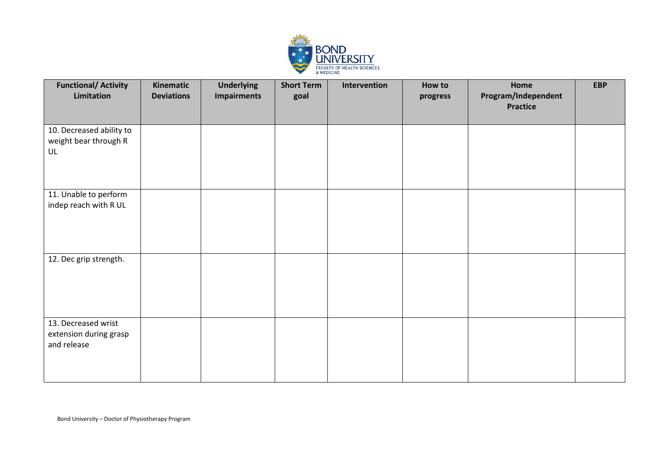

| <b>Functional/ Activity</b><br>Limitation                    | Kinematic<br><b>Deviations</b> | <b>Underlying</b><br><b>Impairments</b> | <b>Short Term</b><br>goal | Intervention | How to<br>progress | Home<br>Program/Independent<br><b>Practice</b> | <b>EBP</b> |
|--------------------------------------------------------------|--------------------------------|-----------------------------------------|---------------------------|--------------|--------------------|------------------------------------------------|------------|
| 10. Decreased ability to<br>weight bear through R<br>UL      |                                |                                         |                           |              |                    |                                                |            |
| 11. Unable to perform<br>indep reach with R UL               |                                |                                         |                           |              |                    |                                                |            |
| 12. Dec grip strength.                                       |                                |                                         |                           |              |                    |                                                |            |
| 13. Decreased wrist<br>extension during grasp<br>and release |                                |                                         |                           |              |                    |                                                |            |